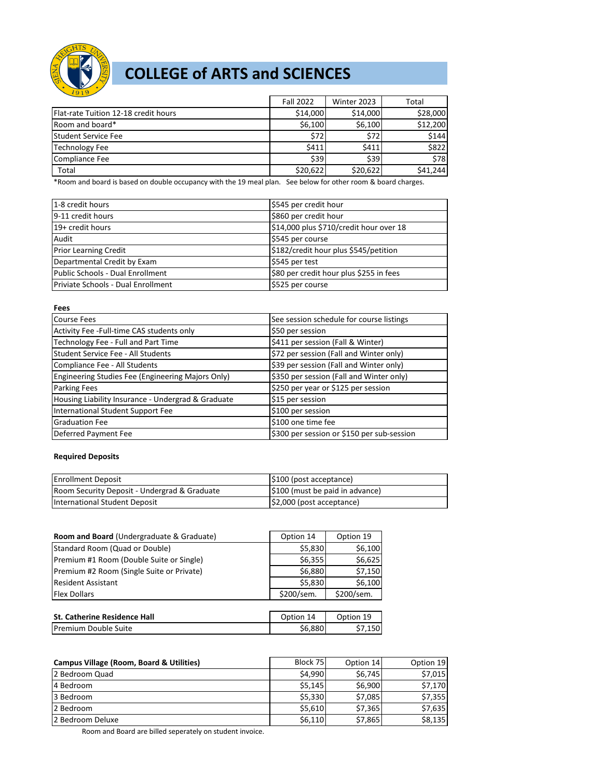

# **COLLEGE of ARTS and SCIENCES**

| 1919                                 |                  |             |          |
|--------------------------------------|------------------|-------------|----------|
|                                      | <b>Fall 2022</b> | Winter 2023 | Total    |
| Flat-rate Tuition 12-18 credit hours | \$14,000         | \$14,000    | \$28,000 |
| Room and board*                      | \$6,100          | \$6,100     | \$12,200 |
| <b>Student Service Fee</b>           | \$72             | \$72        | \$144    |
| <b>Technology Fee</b>                | \$411            | \$411       | \$822    |
| Compliance Fee                       | \$39             | \$39        | \$78     |
| Total                                | \$20,622         | \$20,622    | \$41,244 |

\*Room and board is based on double occupancy with the 19 meal plan. See below for other room & board charges.

| 1-8 credit hours                   | \$545 per credit hour                   |
|------------------------------------|-----------------------------------------|
| 9-11 credit hours                  | \$860 per credit hour                   |
| 19+ credit hours                   | \$14,000 plus \$710/credit hour over 18 |
| Audit                              | \$545 per course                        |
| <b>Prior Learning Credit</b>       | \$182/credit hour plus \$545/petition   |
| Departmental Credit by Exam        | \$545 per test                          |
| Public Schools - Dual Enrollment   | \$80 per credit hour plus \$255 in fees |
| Priviate Schools - Dual Enrollment | \$525 per course                        |

| <b>Fees</b>                                        |                                            |
|----------------------------------------------------|--------------------------------------------|
| <b>Course Fees</b>                                 | See session schedule for course listings   |
| Activity Fee -Full-time CAS students only          | \$50 per session                           |
| Technology Fee - Full and Part Time                | \$411 per session (Fall & Winter)          |
| Student Service Fee - All Students                 | \$72 per session (Fall and Winter only)    |
| Compliance Fee - All Students                      | \$39 per session (Fall and Winter only)    |
| Engineering Studies Fee (Engineering Majors Only)  | \$350 per session (Fall and Winter only)   |
| Parking Fees                                       | \$250 per year or \$125 per session        |
| Housing Liability Insurance - Undergrad & Graduate | \$15 per session                           |
| International Student Support Fee                  | \$100 per session                          |
| <b>Graduation Fee</b>                              | \$100 one time fee                         |
| Deferred Payment Fee                               | \$300 per session or \$150 per sub-session |

#### **Required Deposits**

| <b>Enrollment Deposit</b>                    | $\vert$ \$100 (post acceptance) |
|----------------------------------------------|---------------------------------|
| Room Security Deposit - Undergrad & Graduate | \$100 (must be paid in advance) |
| <b>International Student Deposit</b>         | $ $2,000$ (post acceptance)     |

| Room and Board (Undergraduate & Graduate) | Option 14  | Option 19  |
|-------------------------------------------|------------|------------|
| Standard Room (Quad or Double)            | \$5,830    | \$6,100    |
| Premium #1 Room (Double Suite or Single)  | \$6,355    | \$6,625    |
| Premium #2 Room (Single Suite or Private) | \$6,880    | \$7,150    |
| <b>Resident Assistant</b>                 | \$5,830    | \$6,100    |
| <b>Flex Dollars</b>                       | \$200/sem. | \$200/sem. |
|                                           |            |            |
| <b>St. Catherine Residence Hall</b>       | Option 14  | Option 19  |
| Premium Double Suite                      | \$6,880    | \$7,150    |

| Campus Village (Room, Board & Utilities) | Block 75 | Option 14 | Option 19 |
|------------------------------------------|----------|-----------|-----------|
| 2 Bedroom Quad                           | \$4.990  | \$6,745   | \$7,015   |
| 4 Bedroom                                | \$5,145  | \$6,900   | \$7,170   |
| 3 Bedroom                                | \$5,330  | \$7,085   | \$7,355   |
| 2 Bedroom                                | \$5,610  | \$7,365   | \$7,635   |
| 2 Bedroom Deluxe                         | \$6,110  | \$7,865   | \$8,135   |

Room and Board are billed seperately on student invoice.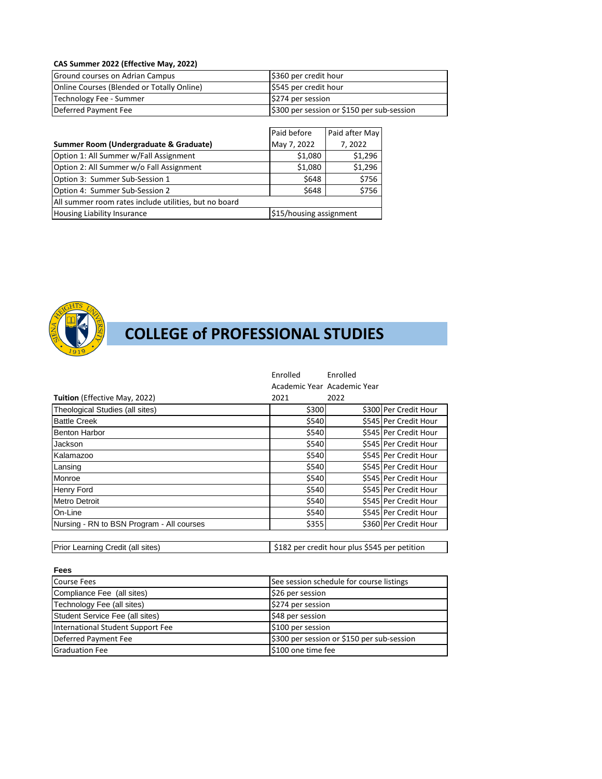### **CAS Summer 2022 (Effective May, 2022)**

| Ground courses on Adrian Campus            | \$360 per credit hour                      |
|--------------------------------------------|--------------------------------------------|
| Online Courses (Blended or Totally Online) | S545 per credit hour                       |
| Technology Fee - Summer                    | S274 per session                           |
| Deferred Payment Fee                       | \$300 per session or \$150 per sub-session |

|                                                       | Paid before             | Paid after May |  |
|-------------------------------------------------------|-------------------------|----------------|--|
| Summer Room (Undergraduate & Graduate)                | May 7, 2022             | 7, 2022        |  |
| Option 1: All Summer w/Fall Assignment                | \$1,080                 | \$1,296        |  |
| Option 2: All Summer w/o Fall Assignment              | \$1,080                 | \$1,296        |  |
| Option 3: Summer Sub-Session 1                        | \$648                   | \$756          |  |
| Option 4: Summer Sub-Session 2                        | \$648                   | \$756          |  |
| All summer room rates include utilities, but no board |                         |                |  |
| Housing Liability Insurance                           | \$15/housing assignment |                |  |



# **COLLEGE of PROFESSIONAL STUDIES**

|                                           | Enrolled | Enrolled                    |                       |
|-------------------------------------------|----------|-----------------------------|-----------------------|
|                                           |          | Academic Year Academic Year |                       |
| <b>Tuition</b> (Effective May, 2022)      | 2021     | 2022                        |                       |
| Theological Studies (all sites)           | \$300    |                             | \$300 Per Credit Hour |
| <b>Battle Creek</b>                       | \$540    |                             | \$545 Per Credit Hour |
| <b>Benton Harbor</b>                      | \$540    |                             | \$545 Per Credit Hour |
| Jackson                                   | \$540    |                             | \$545 Per Credit Hour |
| Kalamazoo                                 | \$540    |                             | \$545 Per Credit Hour |
| Lansing                                   | \$540    |                             | \$545 Per Credit Hour |
| Monroe                                    | \$540    |                             | \$545 Per Credit Hour |
| Henry Ford                                | \$540    |                             | \$545 Per Credit Hour |
| <b>Metro Detroit</b>                      | \$540    |                             | \$545 Per Credit Hour |
| On-Line                                   | \$540    |                             | \$545 Per Credit Hour |
| Nursing - RN to BSN Program - All courses | \$355    |                             | \$360 Per Credit Hour |

Prior Learning Credit (all sites) \$182 per credit hour plus \$545 per petition

| .,<br>I<br>w<br>۰.<br>n e<br>v |
|--------------------------------|
|--------------------------------|

| Course Fees                       | See session schedule for course listings   |
|-----------------------------------|--------------------------------------------|
| Compliance Fee (all sites)        | \$26 per session                           |
| Technology Fee (all sites)        | \$274 per session                          |
| Student Service Fee (all sites)   | \$48 per session                           |
| International Student Support Fee | \$100 per session                          |
| Deferred Payment Fee              | \$300 per session or \$150 per sub-session |
| <b>Graduation Fee</b>             | \$100 one time fee                         |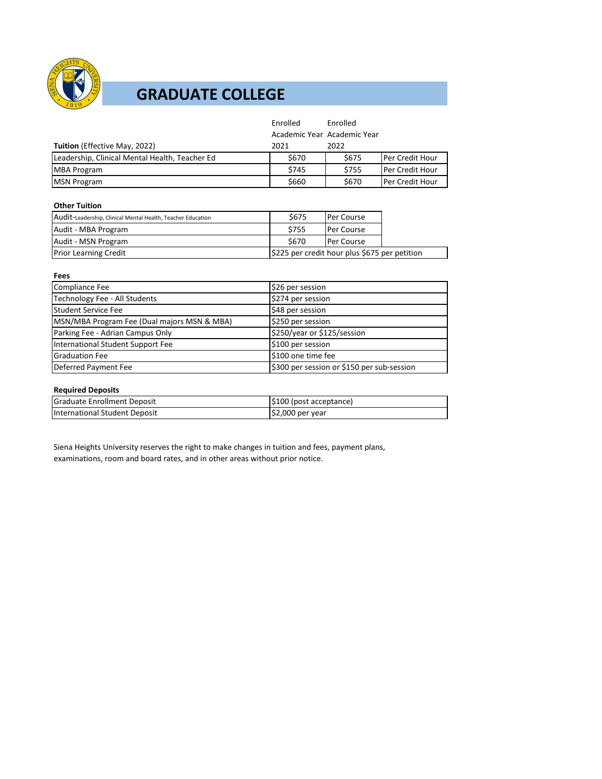

## **GRADUATE COLLEGE**

|                                                | Enrolled | Enrolled                    |                        |
|------------------------------------------------|----------|-----------------------------|------------------------|
|                                                |          | Academic Year Academic Year |                        |
| <b>Tuition</b> (Effective May, 2022)           | 2021     | 2022                        |                        |
| Leadership, Clinical Mental Health, Teacher Ed | \$670    | \$675                       | <b>Per Credit Hour</b> |
| <b>MBA Program</b>                             | \$745    | \$755                       | <b>Per Credit Hour</b> |
| <b>MSN Program</b>                             | \$660    | \$670                       | <b>Per Credit Hour</b> |

### **Other Tuition**

| Audit-Leadership, Clinical Mental Health, Teacher Education | \$675                                         | <b>Per Course</b> |  |
|-------------------------------------------------------------|-----------------------------------------------|-------------------|--|
| Audit - MBA Program                                         | \$755                                         | <b>Per Course</b> |  |
| Audit - MSN Program                                         | \$670                                         | <b>Per Course</b> |  |
| <b>Prior Learning Credit</b>                                | \$225 per credit hour plus \$675 per petition |                   |  |

| Fees                                        |                                            |  |
|---------------------------------------------|--------------------------------------------|--|
| <b>Compliance Fee</b>                       | \$26 per session                           |  |
| Technology Fee - All Students               | \$274 per session                          |  |
| Student Service Fee                         | \$48 per session                           |  |
| MSN/MBA Program Fee (Dual majors MSN & MBA) | \$250 per session                          |  |
| Parking Fee - Adrian Campus Only            | \$250/year or \$125/session                |  |
| International Student Support Fee           | \$100 per session                          |  |
| <b>Graduation Fee</b>                       | \$100 one time fee                         |  |
| Deferred Payment Fee                        | \$300 per session or \$150 per sub-session |  |

#### **Required Deposits**

| <b>Graduate Enrollment Deposit</b> | $ $100$ (post acceptance) |
|------------------------------------|---------------------------|
| International Student Deposit      | $$2,000$ per year         |

Siena Heights University reserves the right to make changes in tuition and fees, payment plans, examinations, room and board rates, and in other areas without prior notice.